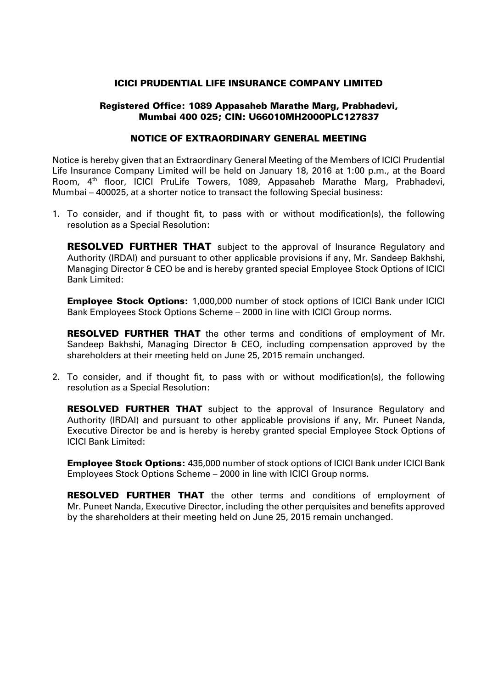### ICICI PRUDENTIAL LIFE INSURANCE COMPANY LIMITED

## Registered Office: 1089 Appasaheb Marathe Marg, Prabhadevi, Mumbai 400 025; CIN: U66010MH2000PLC127837

#### NOTICE OF EXTRAORDINARY GENERAL MEETING

Notice is hereby given that an Extraordinary General Meeting of the Members of ICICI Prudential Life Insurance Company Limited will be held on January 18, 2016 at 1:00 p.m., at the Board Room. 4<sup>th</sup> floor, ICICI PruLife Towers, 1089, Appasaheb Marathe Marg, Prabhadevi, Mumbai – 400025, at a shorter notice to transact the following Special business:

1. To consider, and if thought fit, to pass with or without modification(s), the following resolution as a Special Resolution:

**RESOLVED FURTHER THAT** subject to the approval of Insurance Regulatory and Authority (IRDAI) and pursuant to other applicable provisions if any, Mr. Sandeep Bakhshi, Managing Director & CEO be and is hereby granted special Employee Stock Options of ICICI Bank Limited:

**Employee Stock Options:** 1,000,000 number of stock options of ICICI Bank under ICICI Bank Employees Stock Options Scheme – 2000 in line with ICICI Group norms.

RESOLVED FURTHER THAT the other terms and conditions of employment of Mr. Sandeep Bakhshi, Managing Director & CEO, including compensation approved by the shareholders at their meeting held on June 25, 2015 remain unchanged.

2. To consider, and if thought fit, to pass with or without modification(s), the following resolution as a Special Resolution:

**RESOLVED FURTHER THAT** subject to the approval of Insurance Regulatory and Authority (IRDAI) and pursuant to other applicable provisions if any, Mr. Puneet Nanda, Executive Director be and is hereby is hereby granted special Employee Stock Options of ICICI Bank Limited:

Employee Stock Options: 435,000 number of stock options of ICICI Bank under ICICI Bank Employees Stock Options Scheme – 2000 in line with ICICI Group norms.

RESOLVED FURTHER THAT the other terms and conditions of employment of Mr. Puneet Nanda, Executive Director, including the other perquisites and benefits approved by the shareholders at their meeting held on June 25, 2015 remain unchanged.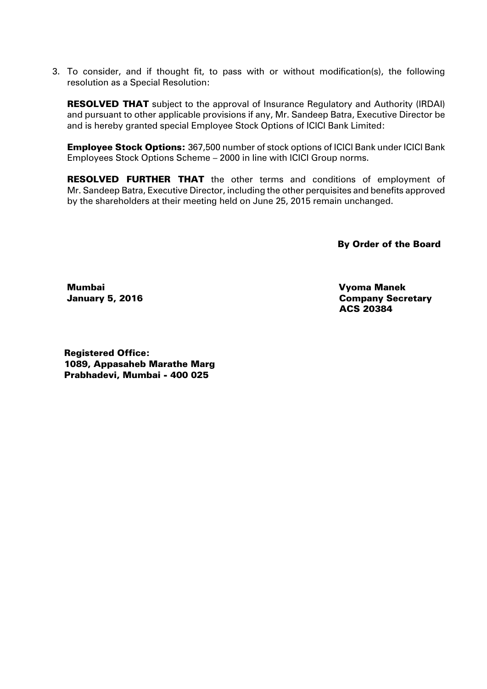3. To consider, and if thought fit, to pass with or without modification(s), the following resolution as a Special Resolution:

**RESOLVED THAT** subject to the approval of Insurance Regulatory and Authority (IRDAI) and pursuant to other applicable provisions if any, Mr. Sandeep Batra, Executive Director be and is hereby granted special Employee Stock Options of ICICI Bank Limited:

Employee Stock Options: 367,500 number of stock options of ICICI Bank under ICICI Bank Employees Stock Options Scheme – 2000 in line with ICICI Group norms.

**RESOLVED FURTHER THAT** the other terms and conditions of employment of Mr. Sandeep Batra, Executive Director, including the other perquisites and benefits approved by the shareholders at their meeting held on June 25, 2015 remain unchanged.

By Order of the Board

Mumbai January 5, 2016

 Vyoma Manek Company Secretary ACS 20384

Registered Office: 1089, Appasaheb Marathe Marg Prabhadevi, Mumbai - 400 025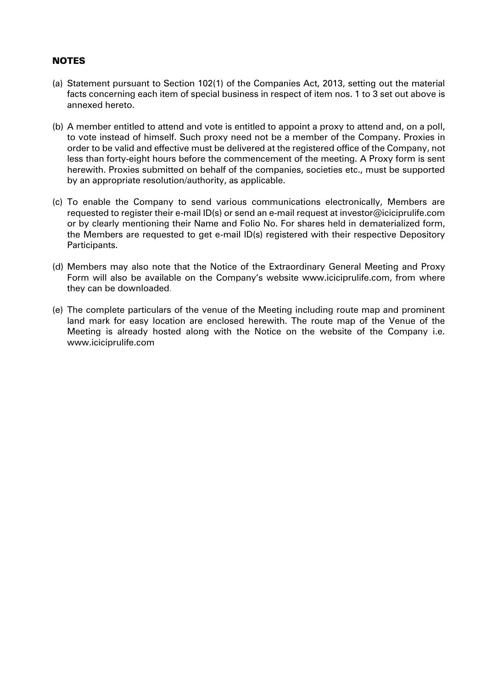# NOTES

- (a) Statement pursuant to Section 102(1) of the Companies Act, 2013, setting out the material facts concerning each item of special business in respect of item nos. 1 to 3 set out above is annexed hereto.
- (b) A member entitled to attend and vote is entitled to appoint a proxy to attend and, on a poll, to vote instead of himself. Such proxy need not be a member of the Company. Proxies in order to be valid and effective must be delivered at the registered office of the Company, not less than forty-eight hours before the commencement of the meeting. A Proxy form is sent herewith. Proxies submitted on behalf of the companies, societies etc., must be supported by an appropriate resolution/authority, as applicable.
- (c) To enable the Company to send various communications electronically, Members are requested to register their e-mail ID(s) or send an e-mail request at investor@iciciprulife.com or by clearly mentioning their Name and Folio No. For shares held in dematerialized form, the Members are requested to get e-mail ID(s) registered with their respective Depository Participants.
- (d) Members may also note that the Notice of the Extraordinary General Meeting and Proxy Form will also be available on the Company's website www.iciciprulife.com, from where they can be downloaded.
- (e) The complete particulars of the venue of the Meeting including route map and prominent land mark for easy location are enclosed herewith. The route map of the Venue of the Meeting is already hosted along with the Notice on the website of the Company i.e. www.iciciprulife.com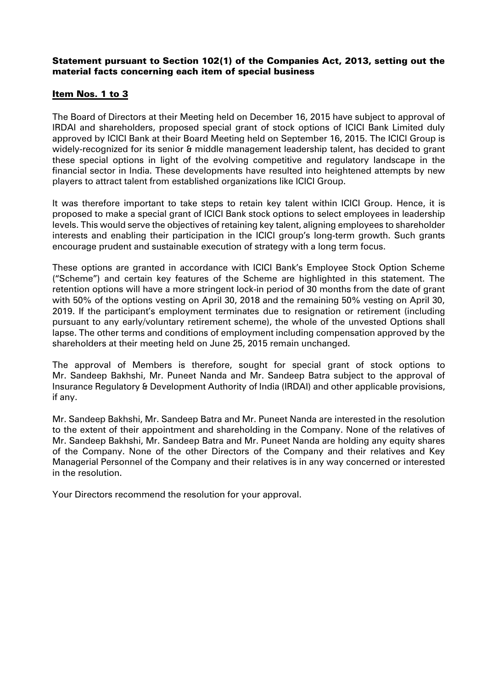# Statement pursuant to Section 102(1) of the Companies Act, 2013, setting out the material facts concerning each item of special business

# Item Nos. 1 to 3

The Board of Directors at their Meeting held on December 16, 2015 have subject to approval of IRDAI and shareholders, proposed special grant of stock options of ICICI Bank Limited duly approved by ICICI Bank at their Board Meeting held on September 16, 2015. The ICICI Group is widely-recognized for its senior & middle management leadership talent, has decided to grant these special options in light of the evolving competitive and regulatory landscape in the financial sector in India. These developments have resulted into heightened attempts by new players to attract talent from established organizations like ICICI Group.

It was therefore important to take steps to retain key talent within ICICI Group. Hence, it is proposed to make a special grant of ICICI Bank stock options to select employees in leadership levels. This would serve the objectives of retaining key talent, aligning employees to shareholder interests and enabling their participation in the ICICI group's long-term growth. Such grants encourage prudent and sustainable execution of strategy with a long term focus.

These options are granted in accordance with ICICI Bank's Employee Stock Option Scheme ("Scheme") and certain key features of the Scheme are highlighted in this statement. The retention options will have a more stringent lock-in period of 30 months from the date of grant with 50% of the options vesting on April 30, 2018 and the remaining 50% vesting on April 30, 2019. If the participant's employment terminates due to resignation or retirement (including pursuant to any early/voluntary retirement scheme), the whole of the unvested Options shall lapse. The other terms and conditions of employment including compensation approved by the shareholders at their meeting held on June 25, 2015 remain unchanged.

The approval of Members is therefore, sought for special grant of stock options to Mr. Sandeep Bakhshi, Mr. Puneet Nanda and Mr. Sandeep Batra subject to the approval of Insurance Regulatory & Development Authority of India (IRDAI) and other applicable provisions, if any.

Mr. Sandeep Bakhshi, Mr. Sandeep Batra and Mr. Puneet Nanda are interested in the resolution to the extent of their appointment and shareholding in the Company. None of the relatives of Mr. Sandeep Bakhshi, Mr. Sandeep Batra and Mr. Puneet Nanda are holding any equity shares of the Company. None of the other Directors of the Company and their relatives and Key Managerial Personnel of the Company and their relatives is in any way concerned or interested in the resolution.

Your Directors recommend the resolution for your approval.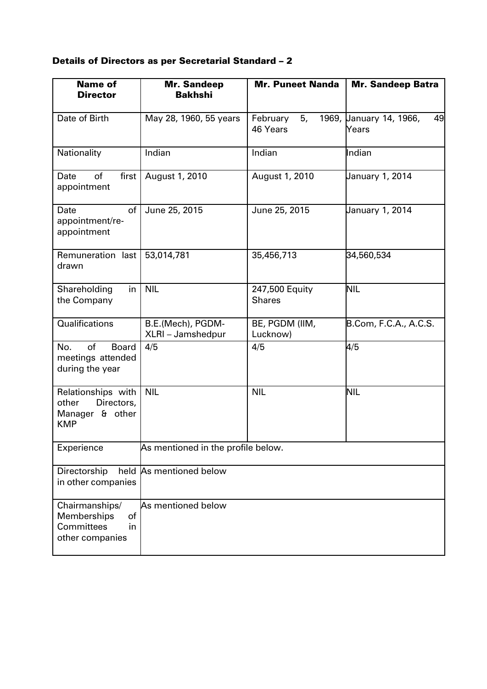# Details of Directors as per Secretarial Standard – 2

| <b>Name of</b><br><b>Director</b>                                          | <b>Mr. Sandeep</b><br><b>Bakhshi</b>   | <b>Mr. Puneet Nanda</b>         | <b>Mr. Sandeep Batra</b>               |
|----------------------------------------------------------------------------|----------------------------------------|---------------------------------|----------------------------------------|
| Date of Birth                                                              | May 28, 1960, 55 years                 | February<br>5,<br>46 Years      | 1969, Uanuary 14, 1966,<br>49<br>Years |
| Nationality                                                                | Indian                                 | Indian                          | Indian                                 |
| of<br>Date<br>first  <br>appointment                                       | August 1, 2010                         | August 1, 2010                  | January 1, 2014                        |
| Date<br>of<br>appointment/re-<br>appointment                               | June 25, 2015                          | June 25, 2015                   | January 1, 2014                        |
| Remuneration last<br>drawn                                                 | 53,014,781                             | 35,456,713                      | 34,560,534                             |
| Shareholding<br>in<br>the Company                                          | <b>NIL</b>                             | 247,500 Equity<br><b>Shares</b> | <b>NIL</b>                             |
| Qualifications                                                             | B.E.(Mech), PGDM-<br>XLRI - Jamshedpur | BE, PGDM (IIM,<br>Lucknow)      | B.Com, F.C.A., A.C.S.                  |
| of<br><b>Board</b><br>No.<br>meetings attended<br>during the year          | 4/5                                    | 4/5                             | 4/5                                    |
| Relationships with<br>Directors,<br>other<br>Manager & other<br><b>KMP</b> | <b>NIL</b>                             | <b>NIL</b>                      | <b>NIL</b>                             |
| Experience                                                                 | As mentioned in the profile below.     |                                 |                                        |
| Directorship<br>in other companies                                         | held As mentioned below                |                                 |                                        |
| Chairmanships/<br>of<br>Memberships<br>Committees<br>in<br>other companies | As mentioned below                     |                                 |                                        |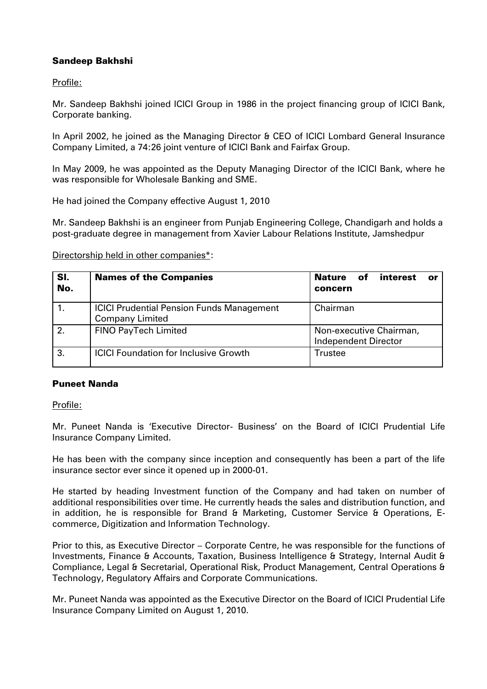# Sandeep Bakhshi

Profile:

Mr. Sandeep Bakhshi joined ICICI Group in 1986 in the project financing group of ICICI Bank, Corporate banking.

In April 2002, he joined as the Managing Director & CEO of ICICI Lombard General Insurance Company Limited, a 74:26 joint venture of ICICI Bank and Fairfax Group.

In May 2009, he was appointed as the Deputy Managing Director of the ICICI Bank, where he was responsible for Wholesale Banking and SME.

He had joined the Company effective August 1, 2010

Mr. Sandeep Bakhshi is an engineer from Punjab Engineering College, Chandigarh and holds a post-graduate degree in management from Xavier Labour Relations Institute, Jamshedpur

Directorship held in other companies\*:

| SI.<br>No. | <b>Names of the Companies</b>                                              | Nature<br>interest<br>of<br>or<br>concern              |
|------------|----------------------------------------------------------------------------|--------------------------------------------------------|
|            | <b>ICICI Prudential Pension Funds Management</b><br><b>Company Limited</b> | Chairman                                               |
| 2.         | <b>FINO PayTech Limited</b>                                                | Non-executive Chairman,<br><b>Independent Director</b> |
| 3.         | <b>ICICI Foundation for Inclusive Growth</b>                               | Trustee                                                |

## Puneet Nanda

Profile:

Mr. Puneet Nanda is 'Executive Director- Business' on the Board of ICICI Prudential Life Insurance Company Limited.

He has been with the company since inception and consequently has been a part of the life insurance sector ever since it opened up in 2000-01.

He started by heading Investment function of the Company and had taken on number of additional responsibilities over time. He currently heads the sales and distribution function, and in addition, he is responsible for Brand & Marketing, Customer Service & Operations, Ecommerce, Digitization and Information Technology.

Prior to this, as Executive Director – Corporate Centre, he was responsible for the functions of Investments, Finance & Accounts, Taxation, Business Intelligence & Strategy, Internal Audit & Compliance, Legal & Secretarial, Operational Risk, Product Management, Central Operations & Technology, Regulatory Affairs and Corporate Communications.

Mr. Puneet Nanda was appointed as the Executive Director on the Board of ICICI Prudential Life Insurance Company Limited on August 1, 2010.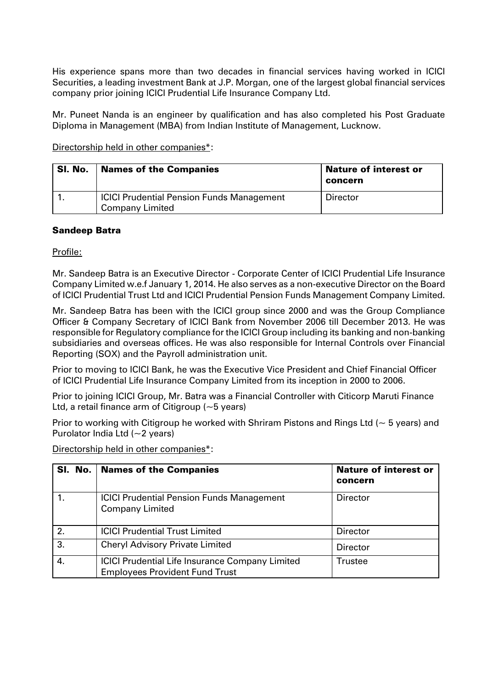His experience spans more than two decades in financial services having worked in ICICI Securities, a leading investment Bank at J.P. Morgan, one of the largest global financial services company prior joining ICICI Prudential Life Insurance Company Ltd.

Mr. Puneet Nanda is an engineer by qualification and has also completed his Post Graduate Diploma in Management (MBA) from Indian Institute of Management, Lucknow.

Directorship held in other companies\*:

| SI. No. | <b>Names of the Companies</b>                                              | <b>Nature of interest or</b><br>concern |
|---------|----------------------------------------------------------------------------|-----------------------------------------|
|         | <b>ICICI Prudential Pension Funds Management</b><br><b>Company Limited</b> | <b>Director</b>                         |

# Sandeep Batra

Profile:

Mr. Sandeep Batra is an Executive Director - Corporate Center of ICICI Prudential Life Insurance Company Limited w.e.f January 1, 2014. He also serves as a non-executive Director on the Board of ICICI Prudential Trust Ltd and ICICI Prudential Pension Funds Management Company Limited.

Mr. Sandeep Batra has been with the ICICI group since 2000 and was the Group Compliance Officer & Company Secretary of ICICI Bank from November 2006 till December 2013. He was responsible for Regulatory compliance for the ICICI Group including its banking and non-banking subsidiaries and overseas offices. He was also responsible for Internal Controls over Financial Reporting (SOX) and the Payroll administration unit.

Prior to moving to ICICI Bank, he was the Executive Vice President and Chief Financial Officer of ICICI Prudential Life Insurance Company Limited from its inception in 2000 to 2006.

Prior to joining ICICI Group, Mr. Batra was a Financial Controller with Citicorp Maruti Finance Ltd, a retail finance arm of Citigroup  $(-5$  years)

Prior to working with Citigroup he worked with Shriram Pistons and Rings Ltd ( $\sim$  5 years) and Purolator India Ltd  $(-2 \text{ years})$ 

Directorship held in other companies\*:

|    | SI. No.   Names of the Companies                                                                | <b>Nature of interest or</b><br>concern |
|----|-------------------------------------------------------------------------------------------------|-----------------------------------------|
|    | <b>ICICI Prudential Pension Funds Management</b><br><b>Company Limited</b>                      | <b>Director</b>                         |
| 2. | <b>ICICI Prudential Trust Limited</b>                                                           | <b>Director</b>                         |
| 3. | <b>Cheryl Advisory Private Limited</b>                                                          | <b>Director</b>                         |
| 4. | <b>ICICI Prudential Life Insurance Company Limited</b><br><b>Employees Provident Fund Trust</b> | Trustee                                 |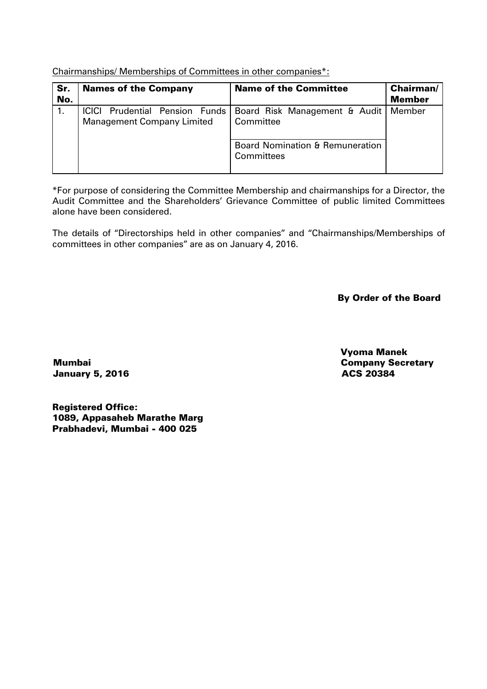Chairmanships/ Memberships of Committees in other companies\*:

| Sr.<br>No. | <b>Names of the Company</b>       | <b>Name of the Committee</b>                                                | <b>Chairman/</b><br><b>Member</b> |
|------------|-----------------------------------|-----------------------------------------------------------------------------|-----------------------------------|
|            | <b>Management Company Limited</b> | ICICI Prudential Pension Funds   Board Risk Management & Audit<br>Committee | Member                            |
|            |                                   | <b>Board Nomination &amp; Remuneration</b><br>Committees                    |                                   |

\*For purpose of considering the Committee Membership and chairmanships for a Director, the Audit Committee and the Shareholders' Grievance Committee of public limited Committees alone have been considered.

The details of "Directorships held in other companies" and "Chairmanships/Memberships of committees in other companies" are as on January 4, 2016.

By Order of the Board

Mumbai January 5, 2016  Vyoma Manek Company Secretary ACS 20384

Registered Office: 1089, Appasaheb Marathe Marg Prabhadevi, Mumbai - 400 025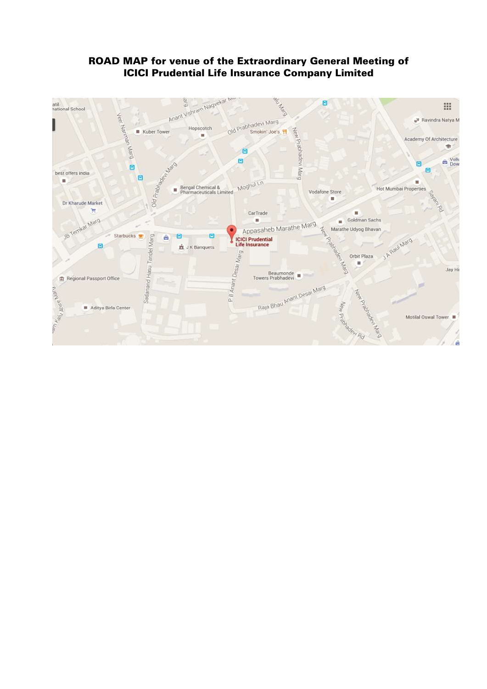

# ROAD MAP for venue of the Extraordinary General Meeting of ICICI Prudential Life Insurance Company Limited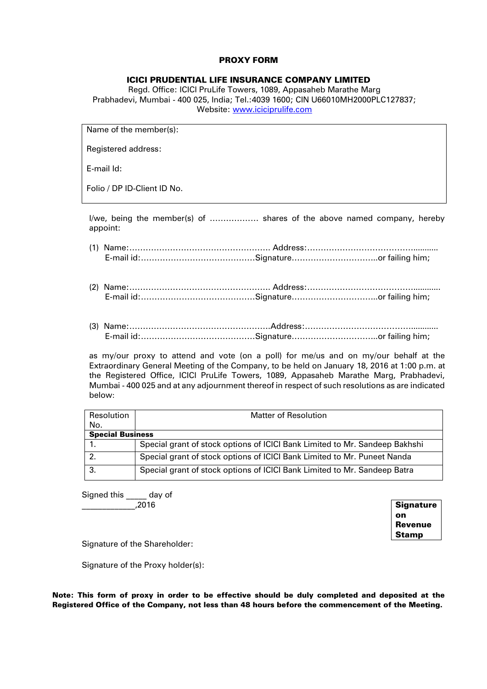#### PROXY FORM

#### ICICI PRUDENTIAL LIFE INSURANCE COMPANY LIMITED

Regd. Office: ICICI PruLife Towers, 1089, Appasaheb Marathe Marg Prabhadevi, Mumbai - 400 025, India; Tel.:4039 1600; CIN U66010MH2000PLC127837; Website:<www.iciciprulife.com>

Name of the member(s):

Registered address:

E-mail Id:

Folio / DP ID-Client ID No.

I/we, being the member(s) of ……………… shares of the above named company, hereby appoint:

- (1) Name:……………………………………………. Address:…………………………………........... E-mail id:……………………………………Signature…………………………..or failing him;
- (2) Name:……………………………………………. Address:…………………………………............ E-mail id:……………………………………Signature…………………………..or failing him;
- (3) Name:…………………………………………….Address:…………………………………............ E-mail id:……………………………………Signature…………………………..or failing him;

as my/our proxy to attend and vote (on a poll) for me/us and on my/our behalf at the Extraordinary General Meeting of the Company, to be held on January 18, 2016 at 1:00 p.m. at the Registered Office, ICICI PruLife Towers, 1089, Appasaheb Marathe Marg, Prabhadevi, Mumbai - 400 025 and at any adjournment thereof in respect of such resolutions as are indicated below:

| Resolution              | Matter of Resolution                                                        |  |
|-------------------------|-----------------------------------------------------------------------------|--|
| No.                     |                                                                             |  |
| <b>Special Business</b> |                                                                             |  |
|                         | Special grant of stock options of ICICI Bank Limited to Mr. Sandeep Bakhshi |  |
| -2.                     | Special grant of stock options of ICICI Bank Limited to Mr. Puneet Nanda    |  |
| -3.                     | Special grant of stock options of ICICI Bank Limited to Mr. Sandeep Batra   |  |

Signed this day of  $2016$ 

**Signature** on Revenue Stamp

Signature of the Shareholder:

Signature of the Proxy holder(s):

Note: This form of proxy in order to be effective should be duly completed and deposited at the Registered Office of the Company, not less than 48 hours before the commencement of the Meeting.